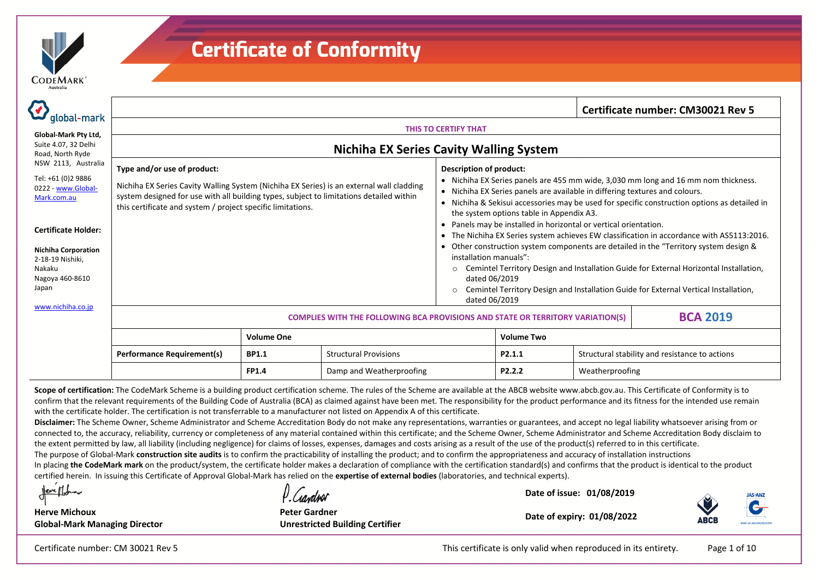| <b>DEMARK</b><br>O |  |
|--------------------|--|
| Australia          |  |

| global-mark                                                                                                                                                                                          |                                                                                                                                                                                                                                                                                   |                                                                                                                                                                                                                                                                                                                                                                                                                                                                                                                                                                                                                                                                          | Certificate number: CM30021 Rev 5                                                                                                                                              |
|------------------------------------------------------------------------------------------------------------------------------------------------------------------------------------------------------|-----------------------------------------------------------------------------------------------------------------------------------------------------------------------------------------------------------------------------------------------------------------------------------|--------------------------------------------------------------------------------------------------------------------------------------------------------------------------------------------------------------------------------------------------------------------------------------------------------------------------------------------------------------------------------------------------------------------------------------------------------------------------------------------------------------------------------------------------------------------------------------------------------------------------------------------------------------------------|--------------------------------------------------------------------------------------------------------------------------------------------------------------------------------|
|                                                                                                                                                                                                      |                                                                                                                                                                                                                                                                                   | THIS TO CERTIFY THAT                                                                                                                                                                                                                                                                                                                                                                                                                                                                                                                                                                                                                                                     |                                                                                                                                                                                |
| Global-Mark Pty Ltd,<br>Suite 4.07, 32 Delhi<br>Road, North Ryde                                                                                                                                     |                                                                                                                                                                                                                                                                                   | <b>Nichiha EX Series Cavity Walling System</b>                                                                                                                                                                                                                                                                                                                                                                                                                                                                                                                                                                                                                           |                                                                                                                                                                                |
| NSW 2113, Australia<br>Tel: +61 (0)2 9886<br>0222 - www.Global-<br>Mark.com.au<br><b>Certificate Holder:</b><br><b>Nichiha Corporation</b><br>2-18-19 Nishiki,<br>Nakaku<br>Nagoya 460-8610<br>Japan | Type and/or use of product:<br>Nichiha EX Series Cavity Walling System (Nichiha EX Series) is an external wall cladding<br>system designed for use with all building types, subject to limitations detailed within<br>this certificate and system / project specific limitations. | <b>Description of product:</b><br>• Nichiha EX Series panels are 455 mm wide, 3,030 mm long and 16 mm nom thickness.<br>• Nichiha EX Series panels are available in differing textures and colours.<br>• Nichiha & Sekisui accessories may be used for specific construction options as detailed in<br>the system options table in Appendix A3.<br>• Panels may be installed in horizontal or vertical orientation.<br>• The Nichiha EX Series system achieves EW classification in accordance with AS5113:2016.<br>Other construction system components are detailed in the "Territory system design &<br>installation manuals":<br>$\circ$<br>dated 06/2019<br>$\circ$ | Cemintel Territory Design and Installation Guide for External Horizontal Installation,<br>Cemintel Territory Design and Installation Guide for External Vertical Installation, |
| www.nichiha.co.jp                                                                                                                                                                                    |                                                                                                                                                                                                                                                                                   | dated 06/2019<br><b>COMPLIES WITH THE FOLLOWING BCA PROVISIONS AND STATE OR TERRITORY VARIATION(S)</b>                                                                                                                                                                                                                                                                                                                                                                                                                                                                                                                                                                   | <b>BCA 2019</b>                                                                                                                                                                |

|                                   | <b>Volume One</b> |                              | <b>Volume Two</b>   |                                                |  |
|-----------------------------------|-------------------|------------------------------|---------------------|------------------------------------------------|--|
| <b>Performance Requirement(s)</b> | BP1.1             | <b>Structural Provisions</b> | P2.1.1              | Structural stability and resistance to actions |  |
|                                   | <b>FP1.4</b>      | Damp and Weatherproofing     | P <sub>2</sub> .2.2 | Weatherproofing                                |  |

Scope of certification: The CodeMark Scheme is a building product certification scheme. The rules of the Scheme are available at the ABCB website www.abcb.gov.au. This Certificate of Conformity is to confirm that the relevant requirements of the Building Code of Australia (BCA) as claimed against have been met. The responsibility for the product performance and its fitness for the intended use remain with the certificate holder. The certification is not transferrable to <sup>a</sup> manufacturer not listed on Appendix A of this certificate.

**Disclaimer:** The Scheme Owner, Scheme Administrator and Scheme Accreditation Body do not make any representations, warranties or guarantees, and accept no legal liability whatsoever arising from or connected to, the accuracy, reliability, currency or completeness of any material contained within this certificate; and the Scheme Owner, Scheme Administrator and Scheme Accreditation Body disclaim to the extent permitted by law, all liability (including negligence) for claims of losses, expenses, damages and costs arising as <sup>a</sup> result of the use of the product(s) referred to in this certificate.

The purpose of Global‐Mark **construction site audits** is to confirm the practicability of installing the product; and to confirm the appropriateness and accuracy of installation instructions

In placing **the CodeMark mark** on the product/system, the certificate holder makes a declaration of compliance with the certification standard(s) and confirms that the product is identical to the product certified herein. In issuing this Certificate of Approval Global‐Mark has relied on the **expertise of external bodies** (laboratories, and technical experts).

Neve Mar

**Herve Michoux**

Conduel **Peter Gardner**

**Date of issue: 01/08/2019 Date of expiry: 01/08/2022**



**Global‐Mark Managing Director**

**Unrestricted Building Certifier**

This certificate is only valid when reproduced in its entirety. Page 1 of 10

Certificate number: CM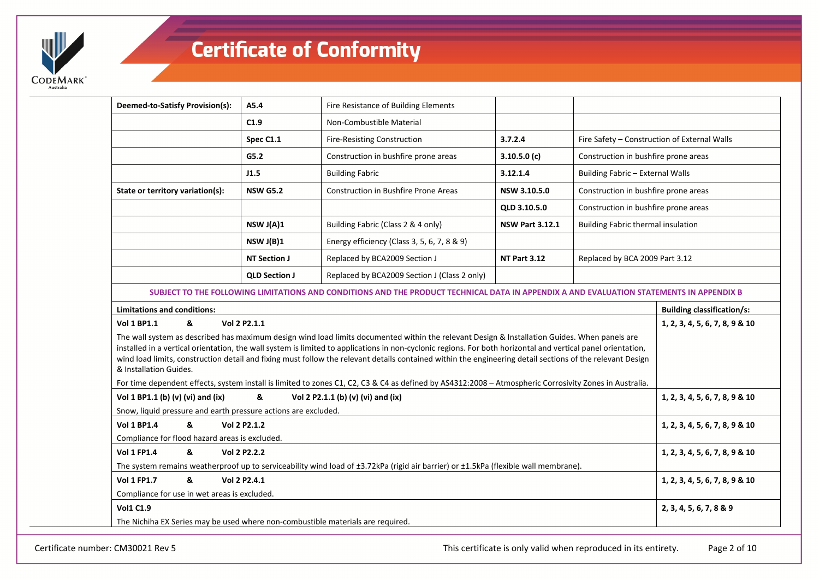

| Deemed-to-Satisfy Provision(s):                                                                                                     | A5.4                                                                                                                   | Fire Resistance of Building Elements                                                                                                                                                                                                                                                                                                                                                                                                                                       |              |                                      |                                              |  |  |
|-------------------------------------------------------------------------------------------------------------------------------------|------------------------------------------------------------------------------------------------------------------------|----------------------------------------------------------------------------------------------------------------------------------------------------------------------------------------------------------------------------------------------------------------------------------------------------------------------------------------------------------------------------------------------------------------------------------------------------------------------------|--------------|--------------------------------------|----------------------------------------------|--|--|
|                                                                                                                                     | C1.9                                                                                                                   | Non-Combustible Material                                                                                                                                                                                                                                                                                                                                                                                                                                                   |              |                                      |                                              |  |  |
|                                                                                                                                     | Spec C1.1                                                                                                              | Fire-Resisting Construction                                                                                                                                                                                                                                                                                                                                                                                                                                                | 3.7.2.4      |                                      | Fire Safety - Construction of External Walls |  |  |
|                                                                                                                                     | G5.2                                                                                                                   | Construction in bushfire prone areas                                                                                                                                                                                                                                                                                                                                                                                                                                       | 3.10.5.0(c)  | Construction in bushfire prone areas |                                              |  |  |
|                                                                                                                                     | J1.5                                                                                                                   | <b>Building Fabric</b>                                                                                                                                                                                                                                                                                                                                                                                                                                                     | 3.12.1.4     | Building Fabric - External Walls     |                                              |  |  |
| State or territory variation(s):                                                                                                    | <b>NSW G5.2</b>                                                                                                        | Construction in Bushfire Prone Areas                                                                                                                                                                                                                                                                                                                                                                                                                                       | NSW 3.10.5.0 | Construction in bushfire prone areas |                                              |  |  |
|                                                                                                                                     | Construction in bushfire prone areas                                                                                   |                                                                                                                                                                                                                                                                                                                                                                                                                                                                            |              |                                      |                                              |  |  |
|                                                                                                                                     | NSW J(A)1<br>Building Fabric (Class 2 & 4 only)<br><b>NSW Part 3.12.1</b><br><b>Building Fabric thermal insulation</b> |                                                                                                                                                                                                                                                                                                                                                                                                                                                                            |              |                                      |                                              |  |  |
|                                                                                                                                     | NSWJ(B)1                                                                                                               | Energy efficiency (Class 3, 5, 6, 7, 8 & 9)                                                                                                                                                                                                                                                                                                                                                                                                                                |              |                                      |                                              |  |  |
|                                                                                                                                     | <b>NT Section J</b><br>Replaced by BCA2009 Section J<br><b>NT Part 3.12</b><br>Replaced by BCA 2009 Part 3.12          |                                                                                                                                                                                                                                                                                                                                                                                                                                                                            |              |                                      |                                              |  |  |
|                                                                                                                                     | <b>QLD Section J</b>                                                                                                   | Replaced by BCA2009 Section J (Class 2 only)                                                                                                                                                                                                                                                                                                                                                                                                                               |              |                                      |                                              |  |  |
|                                                                                                                                     |                                                                                                                        | SUBJECT TO THE FOLLOWING LIMITATIONS AND CONDITIONS AND THE PRODUCT TECHNICAL DATA IN APPENDIX A AND EVALUATION STATEMENTS IN APPENDIX B                                                                                                                                                                                                                                                                                                                                   |              |                                      |                                              |  |  |
| <b>Limitations and conditions:</b>                                                                                                  |                                                                                                                        |                                                                                                                                                                                                                                                                                                                                                                                                                                                                            |              |                                      | <b>Building classification/s:</b>            |  |  |
| <b>Vol 1 BP1.1</b><br>&                                                                                                             | Vol 2 P2.1.1                                                                                                           |                                                                                                                                                                                                                                                                                                                                                                                                                                                                            |              |                                      | 1, 2, 3, 4, 5, 6, 7, 8, 9 & 10               |  |  |
| & Installation Guides.                                                                                                              |                                                                                                                        | The wall system as described has maximum design wind load limits documented within the relevant Design & Installation Guides. When panels are<br>installed in a vertical orientation, the wall system is limited to applications in non-cyclonic regions. For both horizontal and vertical panel orientation,<br>wind load limits, construction detail and fixing must follow the relevant details contained within the engineering detail sections of the relevant Design |              |                                      |                                              |  |  |
| Vol 1 BP1.1 (b) (v) (vi) and (ix)                                                                                                   | &                                                                                                                      | For time dependent effects, system install is limited to zones C1, C2, C3 & C4 as defined by AS4312:2008 - Atmospheric Corrosivity Zones in Australia.<br>Vol 2 P2.1.1 (b) (v) (vi) and (ix)                                                                                                                                                                                                                                                                               |              |                                      | 1, 2, 3, 4, 5, 6, 7, 8, 9 & 10               |  |  |
| Snow, liquid pressure and earth pressure actions are excluded.                                                                      |                                                                                                                        |                                                                                                                                                                                                                                                                                                                                                                                                                                                                            |              |                                      |                                              |  |  |
| <b>Vol 1 BP1.4</b><br>&                                                                                                             | Vol 2 P2.1.2                                                                                                           |                                                                                                                                                                                                                                                                                                                                                                                                                                                                            |              |                                      | 1, 2, 3, 4, 5, 6, 7, 8, 9 & 10               |  |  |
| Compliance for flood hazard areas is excluded.                                                                                      |                                                                                                                        |                                                                                                                                                                                                                                                                                                                                                                                                                                                                            |              |                                      |                                              |  |  |
| <b>Vol 1 FP1.4</b><br>&<br>Vol 2 P2.2.2                                                                                             | 1, 2, 3, 4, 5, 6, 7, 8, 9 & 10                                                                                         |                                                                                                                                                                                                                                                                                                                                                                                                                                                                            |              |                                      |                                              |  |  |
| The system remains weatherproof up to serviceability wind load of ±3.72kPa (rigid air barrier) or ±1.5kPa (flexible wall membrane). |                                                                                                                        |                                                                                                                                                                                                                                                                                                                                                                                                                                                                            |              |                                      |                                              |  |  |
| &<br><b>Vol 1 FP1.7</b>                                                                                                             | Vol 2 P2.4.1                                                                                                           |                                                                                                                                                                                                                                                                                                                                                                                                                                                                            |              |                                      | 1, 2, 3, 4, 5, 6, 7, 8, 9 & 10               |  |  |
| Compliance for use in wet areas is excluded.                                                                                        |                                                                                                                        |                                                                                                                                                                                                                                                                                                                                                                                                                                                                            |              |                                      |                                              |  |  |
| <b>Vol1 C1.9</b>                                                                                                                    |                                                                                                                        |                                                                                                                                                                                                                                                                                                                                                                                                                                                                            |              |                                      | 2, 3, 4, 5, 6, 7, 8 & 9                      |  |  |
| The Nichiha EX Series may be used where non-combustible materials are required.                                                     |                                                                                                                        |                                                                                                                                                                                                                                                                                                                                                                                                                                                                            |              |                                      |                                              |  |  |

Certificate number: CM30021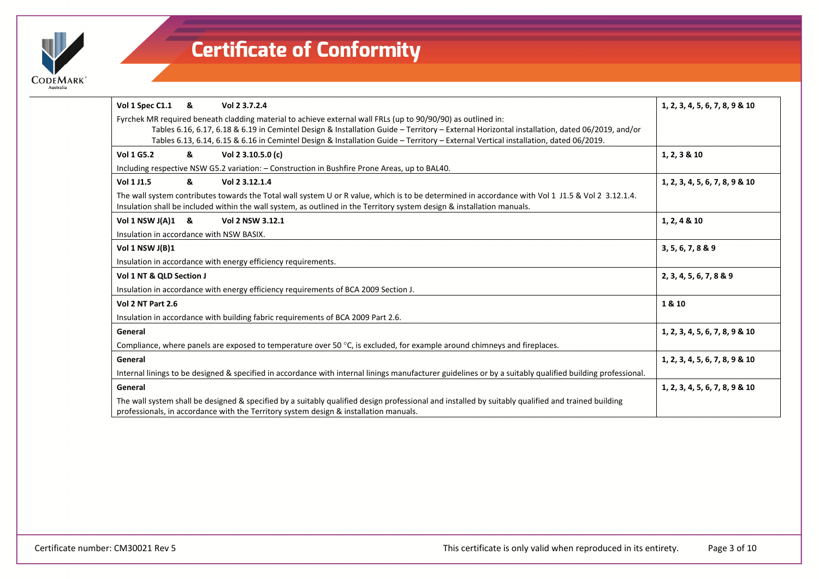

| Vol 1 Spec C1.1 &                        |   | Vol 2 3.7.2.4                                                                                                                                                                                                                                                                | 1, 2, 3, 4, 5, 6, 7, 8, 9 & 10 |
|------------------------------------------|---|------------------------------------------------------------------------------------------------------------------------------------------------------------------------------------------------------------------------------------------------------------------------------|--------------------------------|
|                                          |   | Fyrchek MR required beneath cladding material to achieve external wall FRLs (up to 90/90/90) as outlined in:                                                                                                                                                                 |                                |
|                                          |   | Tables 6.16, 6.17, 6.18 & 6.19 in Cemintel Design & Installation Guide - Territory - External Horizontal installation, dated 06/2019, and/or                                                                                                                                 |                                |
|                                          |   | Tables 6.13, 6.14, 6.15 & 6.16 in Cemintel Design & Installation Guide - Territory - External Vertical installation, dated 06/2019.                                                                                                                                          |                                |
| <b>Vol 1 G5.2</b>                        | & | Vol 2 3.10.5.0 (c)                                                                                                                                                                                                                                                           | 1, 2, 3 & 10                   |
|                                          |   | Including respective NSW G5.2 variation: - Construction in Bushfire Prone Areas, up to BAL40.                                                                                                                                                                                |                                |
| Vol 1 J1.5                               | & | Vol 2 3.12.1.4                                                                                                                                                                                                                                                               | 1, 2, 3, 4, 5, 6, 7, 8, 9 & 10 |
|                                          |   | The wall system contributes towards the Total wall system U or R value, which is to be determined in accordance with Vol 1 J1.5 & Vol 2 3.12.1.4.<br>Insulation shall be included within the wall system, as outlined in the Territory system design & installation manuals. |                                |
| Vol $1$ NSW J(A) $1 \&$                  |   | Vol 2 NSW 3.12.1                                                                                                                                                                                                                                                             | 1, 2, 4 & 10                   |
| Insulation in accordance with NSW BASIX. |   |                                                                                                                                                                                                                                                                              |                                |
| Vol 1 NSW J(B)1                          |   |                                                                                                                                                                                                                                                                              | 3, 5, 6, 7, 8 & 9              |
|                                          |   | Insulation in accordance with energy efficiency requirements.                                                                                                                                                                                                                |                                |
| Vol 1 NT & QLD Section J                 |   |                                                                                                                                                                                                                                                                              | 2, 3, 4, 5, 6, 7, 8 & 9        |
|                                          |   | Insulation in accordance with energy efficiency requirements of BCA 2009 Section J.                                                                                                                                                                                          |                                |
| Vol 2 NT Part 2.6                        |   |                                                                                                                                                                                                                                                                              | 1 & 10                         |
|                                          |   | Insulation in accordance with building fabric requirements of BCA 2009 Part 2.6.                                                                                                                                                                                             |                                |
| General                                  |   |                                                                                                                                                                                                                                                                              | 1, 2, 3, 4, 5, 6, 7, 8, 9 & 10 |
|                                          |   | Compliance, where panels are exposed to temperature over 50 °C, is excluded, for example around chimneys and fireplaces.                                                                                                                                                     |                                |
| General                                  |   |                                                                                                                                                                                                                                                                              | 1, 2, 3, 4, 5, 6, 7, 8, 9 & 10 |
|                                          |   | Internal linings to be designed & specified in accordance with internal linings manufacturer guidelines or by a suitably qualified building professional.                                                                                                                    |                                |
| General                                  |   |                                                                                                                                                                                                                                                                              | 1, 2, 3, 4, 5, 6, 7, 8, 9 & 10 |
|                                          |   | The wall system shall be designed & specified by a suitably qualified design professional and installed by suitably qualified and trained building<br>professionals, in accordance with the Territory system design & installation manuals.                                  |                                |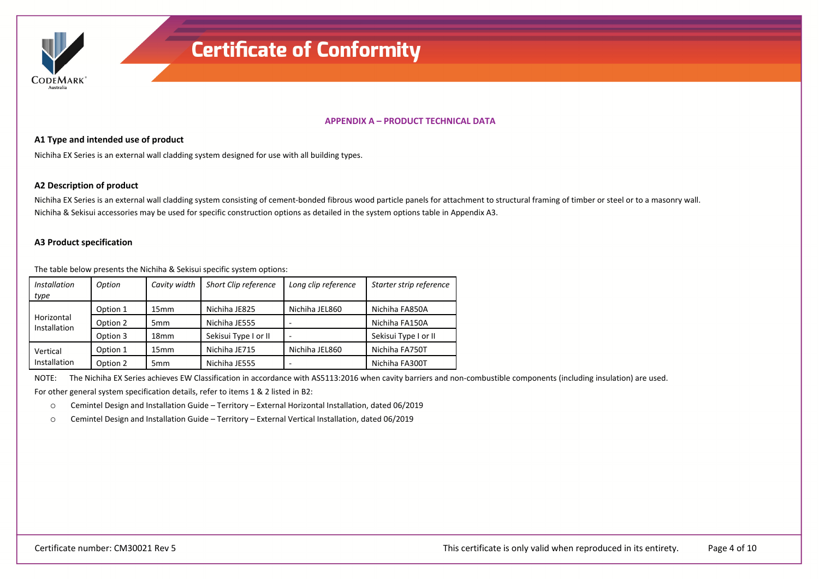

### **APPENDIX A – PRODUCT TECHNICAL DATA**

### **A1 Type and intended use of product**

Nichiha EX Series is an external wall cladding system designed for use with all building types.

### **A2 Description of product**

Nichiha EX Series is an external wall cladding system consisting of cement‐bonded fibrous wood particle panels for attachment to structural framing of timber or steel or to <sup>a</sup> masonry wall. Nichiha & Sekisui accessories may be used for specific construction options as detailed in the system options table in Appendix A3.

### **A3 Product specification**

The table below presents the Nichiha & Sekisui specific system options:

| <i>Installation</i><br>type | Option   | Cavity width     | Short Clip reference | Long clip reference | Starter strip reference |
|-----------------------------|----------|------------------|----------------------|---------------------|-------------------------|
|                             | Option 1 | 15mm             | Nichiha JE825        | Nichiha JEL860      | Nichiha FA850A          |
| Horizontal<br>Installation  | Option 2 | 5 <sub>mm</sub>  | Nichiha JE555        |                     | Nichiha FA150A          |
|                             | Option 3 | 18 <sub>mm</sub> | Sekisui Type I or II |                     | Sekisui Type I or II    |
| Vertical                    | Option 1 | 15mm             | Nichiha JE715        | Nichiha JEL860      | Nichiha FA750T          |
| Installation                | Option 2 | 5 <sub>mm</sub>  | Nichiha JE555        |                     | Nichiha FA300T          |

NOTE:The Nichiha EX Series achieves EW Classification in accordance with AS5113:2016 when cavity barriers and non‐combustible components (including insulation) are used.

For other general system specification details, refer to items 1 & 2 listed in B2:

oCemintel Design and Installation Guide – Territory – External Horizontal Installation, dated 06/2019

oCemintel Design and Installation Guide – Territory – External Vertical Installation, dated 06/2019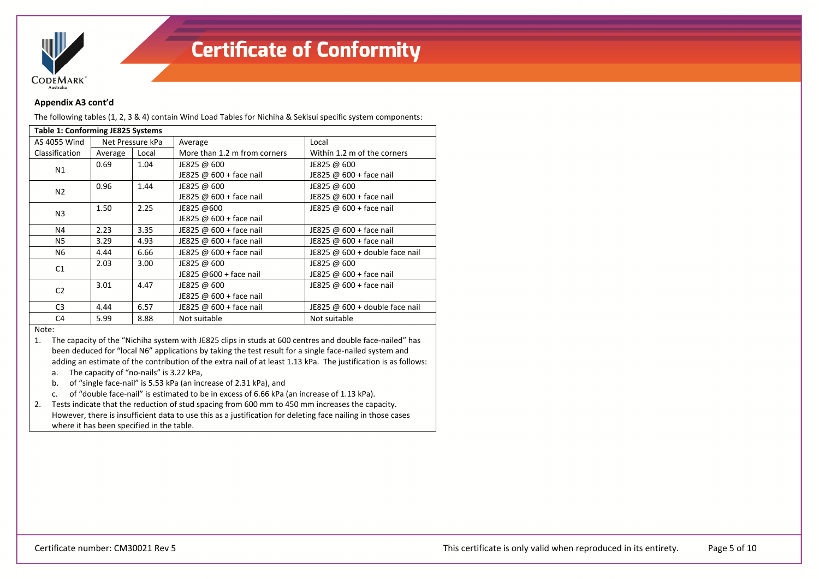

### **Appendix A3 cont'd**

The following tables (1, 2, 3 & 4) contain Wind Load Tables for Nichiha & Sekisui specific system components:

| <b>Table 1: Conforming JE825 Systems</b> |                  |       |                              |                                  |  |  |
|------------------------------------------|------------------|-------|------------------------------|----------------------------------|--|--|
| AS 4055 Wind                             | Net Pressure kPa |       | Average                      | Local                            |  |  |
| Classification                           | Average          | Local | More than 1.2 m from corners | Within 1.2 m of the corners      |  |  |
| N1                                       | 0.69             | 1.04  | JE825 @ 600                  | JE825 @ 600                      |  |  |
|                                          |                  |       | JE825 @ 600 + face nail      | JE825 @ 600 + face nail          |  |  |
| N <sub>2</sub>                           | 0.96             | 1.44  | JE825 @ 600                  | JE825 @ 600                      |  |  |
|                                          |                  |       | JE825 @ 600 + face nail      | JE825 @ 600 + face nail          |  |  |
| N <sub>3</sub>                           | 1.50             | 2.25  | JE825 @600                   | JE825 @ 600 + face nail          |  |  |
|                                          |                  |       | JE825 @ 600 + face nail      |                                  |  |  |
| N4                                       | 2.23             | 3.35  | JE825 @ 600 + face nail      | JE825 @ 600 + face nail          |  |  |
| N5                                       | 3.29             | 4.93  | JE825 @ 600 + face nail      | JE825 @ $600 +$ face nail        |  |  |
| N6                                       | 4.44             | 6.66  | JE825 @ 600 + face nail      | JE825 @ $600 +$ double face nail |  |  |
| C1                                       | 2.03             | 3.00  | JE825 @ 600                  | JE825 @ 600                      |  |  |
|                                          |                  |       | JE825 @600 + face nail       | JE825 @ $600 +$ face nail        |  |  |
| C <sub>2</sub>                           | 3.01             | 4.47  | JE825 @ 600                  | JE825 @ 600 + face nail          |  |  |
|                                          |                  |       | JE825 @ 600 + face nail      |                                  |  |  |
| C <sub>3</sub>                           | 4.44             | 6.57  | JE825 @ 600 + face nail      | JE825 @ $600 +$ double face nail |  |  |
| C4                                       | 5.99             | 8.88  | Not suitable                 | Not suitable                     |  |  |

#### Note:

1. The capacity of the "Nichiha system with JE825 clips in studs at 600 centres and double face‐nailed" has been deduced for "local N6" applications by taking the test result for <sup>a</sup> single face‐nailed system and adding an estimate of the contribution of the extra nail of at least 1.13 kPa. The justification is as follows:

- a. The capacity of "no‐nails" is 3.22 kPa,
- b. of "single face‐nail" is 5.53 kPa (an increase of 2.31 kPa), and
- c. of "double face‐nail" is estimated to be in excess of 6.66 kPa (an increase of 1.13 kPa).

2. Tests indicate that the reduction of stud spacing from 600 mm to 450 mm increases the capacity. However, there is insufficient data to use this as <sup>a</sup> justification for deleting face nailing in those cases where it has been specified in the table.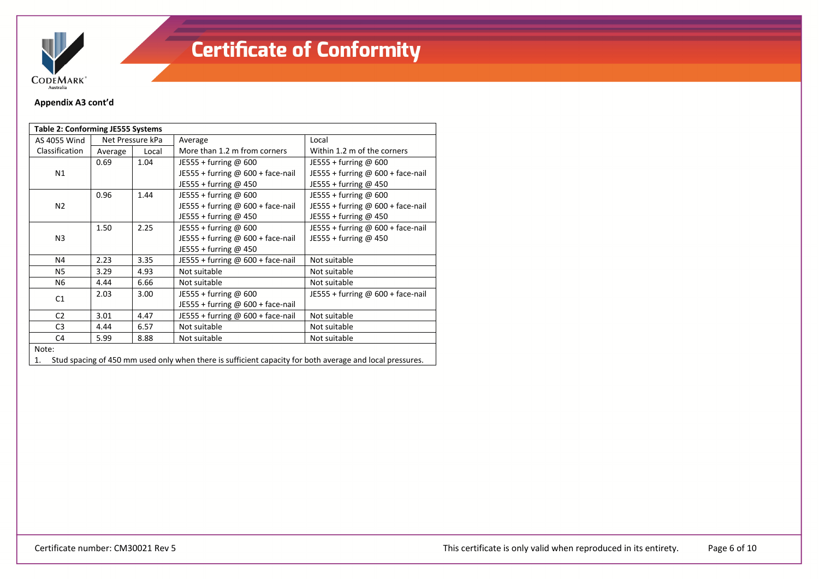

### **Appendix A3 cont'd**

| Table 2: Conforming JE555 Systems |                                      |      |                                     |                                     |  |  |
|-----------------------------------|--------------------------------------|------|-------------------------------------|-------------------------------------|--|--|
| AS 4055 Wind                      | Net Pressure kPa<br>Local<br>Average |      | Average                             | Local                               |  |  |
| Classification                    |                                      |      | More than 1.2 m from corners        | Within 1.2 m of the corners         |  |  |
|                                   | 0.69                                 | 1.04 | JE555 + furring $@$ 600             | JE555 + furring @ $600$             |  |  |
| N1                                |                                      |      | JE555 + furring @ 600 + face-nail   | JE555 + furring @ 600 + face-nail   |  |  |
|                                   |                                      |      | JE555 + furring @ 450               | JE555 + furring @ 450               |  |  |
|                                   | 0.96                                 | 1.44 | JE555 + furring $@$ 600             | JE555 + furring @ 600               |  |  |
| N <sub>2</sub>                    |                                      |      | JE555 + furring @ 600 + face-nail   | JE555 + furring @ 600 + face-nail   |  |  |
|                                   |                                      |      | JE555 + furring @ 450               | JE555 + furring @ 450               |  |  |
|                                   | 1.50                                 | 2.25 | JE555 + furring @ 600               | JE555 + furring @ 600 + face-nail   |  |  |
| N <sub>3</sub>                    |                                      |      | JE555 + furring @ $600 +$ face-nail | JE555 + furring @ 450               |  |  |
|                                   |                                      |      | JE555 + furring @ 450               |                                     |  |  |
| N4                                | 2.23                                 | 3.35 | JE555 + furring @ 600 + face-nail   | Not suitable                        |  |  |
| <b>N5</b>                         | 3.29                                 | 4.93 | Not suitable                        | Not suitable                        |  |  |
| N6                                | 4.44                                 | 6.66 | Not suitable                        | Not suitable                        |  |  |
| C1                                | 2.03                                 | 3.00 | JE555 + furring $@$ 600             | JE555 + furring $@$ 600 + face-nail |  |  |
|                                   |                                      |      | JE555 + furring @ 600 + face-nail   |                                     |  |  |
| C <sub>2</sub>                    | 3.01                                 | 4.47 | JE555 + furring @ $600 +$ face-nail | Not suitable                        |  |  |
| C <sub>3</sub>                    | 4.44                                 | 6.57 | Not suitable                        | Not suitable                        |  |  |
| C <sub>4</sub>                    | 5.99                                 | 8.88 | Not suitable                        | Not suitable                        |  |  |
| Note:                             |                                      |      |                                     |                                     |  |  |

1. Stud spacing of 450 mm used only when there is sufficient capacity for both average and local pressures.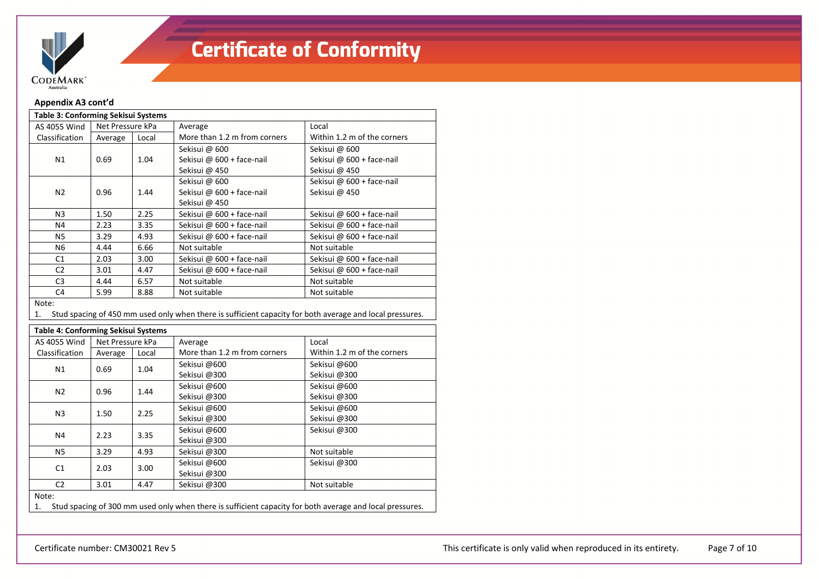

### **Appendix A3 cont'd**

| <b>Table 3: Conforming Sekisui Systems</b> |                  |       |                              |                             |  |  |  |
|--------------------------------------------|------------------|-------|------------------------------|-----------------------------|--|--|--|
| AS 4055 Wind                               | Net Pressure kPa |       | Average                      | Local                       |  |  |  |
| Classification                             | Average          | Local | More than 1.2 m from corners | Within 1.2 m of the corners |  |  |  |
|                                            |                  |       | Sekisui @ 600                | Sekisui @ 600               |  |  |  |
| N1                                         | 0.69             | 1.04  | Sekisui @ 600 + face-nail    | Sekisui @ 600 + face-nail   |  |  |  |
|                                            |                  |       | Sekisui @ 450                | Sekisui @ 450               |  |  |  |
|                                            |                  |       | Sekisui @ 600                | Sekisui @ 600 + face-nail   |  |  |  |
| 0.96<br>N2                                 |                  | 1.44  | Sekisui @ 600 + face-nail    | Sekisui @ 450               |  |  |  |
|                                            |                  |       | Sekisui @ 450                |                             |  |  |  |
| N3                                         | 1.50             | 2.25  | Sekisui @ 600 + face-nail    | Sekisui @ 600 + face-nail   |  |  |  |
| N4                                         | 2.23             | 3.35  | Sekisui @ 600 + face-nail    | Sekisui @ 600 + face-nail   |  |  |  |
| N5                                         | 3.29             | 4.93  | Sekisui @ 600 + face-nail    | Sekisui @ 600 + face-nail   |  |  |  |
| N6                                         | 4.44             | 6.66  | Not suitable                 | Not suitable                |  |  |  |
| C1                                         | 2.03             | 3.00  | Sekisui @ 600 + face-nail    | Sekisui @ 600 + face-nail   |  |  |  |
| C <sub>2</sub>                             | 3.01             | 4.47  | Sekisui @ 600 + face-nail    | Sekisui @ 600 + face-nail   |  |  |  |
| C <sub>3</sub>                             | 4.44             | 6.57  | Not suitable                 | Not suitable                |  |  |  |
| C <sub>4</sub>                             | 5.99             | 8.88  | Not suitable                 | Not suitable                |  |  |  |
|                                            |                  |       |                              |                             |  |  |  |

Note:

1.Stud spacing of 450 mm used only when there is sufficient capacity for both average and local pressures.

#### **Table 4: Conforming Sekisui Systems**

| AS 4055 Wind   | Net Pressure kPa<br>Local<br>Average |              | Average                                                                                                  | Local                       |  |  |
|----------------|--------------------------------------|--------------|----------------------------------------------------------------------------------------------------------|-----------------------------|--|--|
| Classification |                                      |              | More than 1.2 m from corners                                                                             | Within 1.2 m of the corners |  |  |
| N1             | 0.69                                 | 1.04         | Sekisui @600                                                                                             | Sekisui @600                |  |  |
|                |                                      |              | Sekisui @300                                                                                             | Sekisui @300                |  |  |
| N2             | 0.96                                 | 1.44         | Sekisui @600                                                                                             | Sekisui @600                |  |  |
|                |                                      |              | Sekisui @300                                                                                             | Sekisui @300                |  |  |
| N <sub>3</sub> | 1.50                                 | 2.25         | Sekisui @600                                                                                             | Sekisui @600                |  |  |
|                |                                      |              | Sekisui @300                                                                                             | Sekisui @300                |  |  |
| N4             |                                      | 3.35<br>2.23 | Sekisui @600                                                                                             | Sekisui @300                |  |  |
|                |                                      |              | Sekisui @300                                                                                             |                             |  |  |
| <b>N5</b>      | 3.29                                 | 4.93         | Sekisui @300                                                                                             | Not suitable                |  |  |
| C1             | 2.03                                 | 3.00         | Sekisui @600                                                                                             | Sekisui @300                |  |  |
|                |                                      |              | Sekisui @300                                                                                             |                             |  |  |
| C <sub>2</sub> | 3.01                                 | 4.47         | Sekisui @300                                                                                             | Not suitable                |  |  |
| Note:          |                                      |              |                                                                                                          |                             |  |  |
| 1.             |                                      |              | Stud spacing of 300 mm used only when there is sufficient capacity for both average and local pressures. |                             |  |  |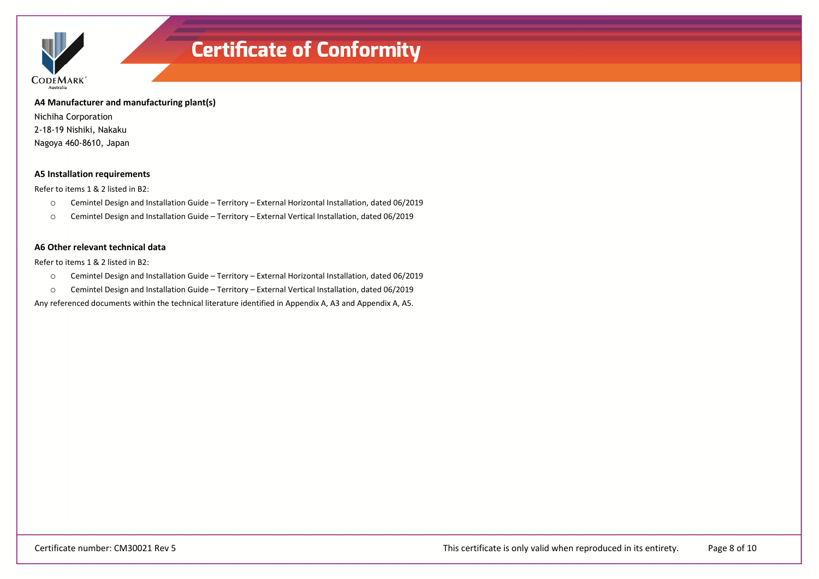

**A4 Manufacturer and manufacturing plant(s)**

Nichiha Corporation 2-18-19 Nishiki, Nakaku Nagoya 460-8610, Japan

### **A5 Installation requirements**

Refer to items 1 & 2 listed in B2:

- oCemintel Design and Installation Guide – Territory – External Horizontal Installation, dated 06/2019
- oCemintel Design and Installation Guide – Territory – External Vertical Installation, dated 06/2019

### **A6 Other relevant technical data**

Refer to items 1 & 2 listed in B2:

- oCemintel Design and Installation Guide – Territory – External Horizontal Installation, dated 06/2019
- oCemintel Design and Installation Guide – Territory – External Vertical Installation, dated 06/2019

Any referenced documents within the technical literature identified in Appendix A, A3 and Appendix A, A5.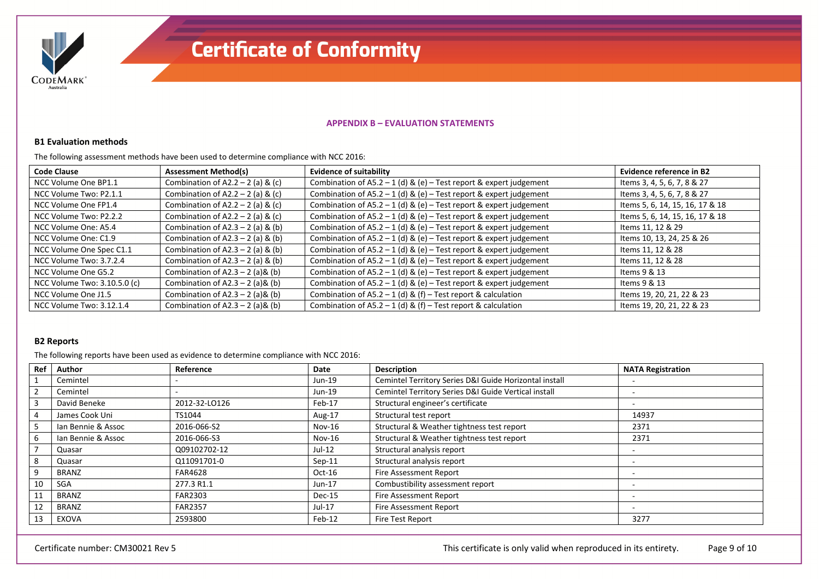

### **APPENDIX B – EVALUATION STATEMENTS**

#### **B1 Evaluation methods**

The following assessment methods have been used to determine compliance with NCC 2016:

| <b>Code Clause</b>           | <b>Assessment Method(s)</b>         | <b>Evidence of suitability</b>                                     | Evidence reference in B2        |
|------------------------------|-------------------------------------|--------------------------------------------------------------------|---------------------------------|
| NCC Volume One BP1.1         | Combination of $A2.2 - 2$ (a) & (c) | Combination of A5.2 - 1 (d) & (e) - Test report & expert judgement | Items 3, 4, 5, 6, 7, 8 & 27     |
| NCC Volume Two: P2.1.1       | Combination of $A2.2 - 2$ (a) & (c) | Combination of A5.2 – 1 (d) & (e) – Test report & expert judgement | Items 3, 4, 5, 6, 7, 8 & 27     |
| NCC Volume One FP1.4         | Combination of $A2.2 - 2$ (a) & (c) | Combination of A5.2 - 1 (d) & (e) - Test report & expert judgement | Items 5, 6, 14, 15, 16, 17 & 18 |
| NCC Volume Two: P2.2.2       | Combination of $A2.2 - 2$ (a) & (c) | Combination of A5.2 - 1 (d) & (e) - Test report & expert judgement | Items 5, 6, 14, 15, 16, 17 & 18 |
| NCC Volume One: A5.4         | Combination of $A2.3 - 2$ (a) & (b) | Combination of A5.2 - 1 (d) & (e) - Test report & expert judgement | Items 11, 12 & 29               |
| NCC Volume One: C1.9         | Combination of $A2.3 - 2$ (a) & (b) | Combination of A5.2 - 1 (d) & (e) - Test report & expert judgement | Items 10, 13, 24, 25 & 26       |
| NCC Volume One Spec C1.1     | Combination of $A2.3 - 2$ (a) & (b) | Combination of A5.2 - 1 (d) & (e) - Test report & expert judgement | Items 11, 12 & 28               |
| NCC Volume Two: 3.7.2.4      | Combination of $A2.3 - 2$ (a) & (b) | Combination of A5.2 - 1 (d) & (e) - Test report & expert judgement | Items 11, 12 & 28               |
| NCC Volume One G5.2          | Combination of $A2.3 - 2$ (a)& (b)  | Combination of A5.2 - 1 (d) & (e) - Test report & expert judgement | Items 9 & 13                    |
| NCC Volume Two: 3.10.5.0 (c) | Combination of $A2.3 - 2$ (a)& (b)  | Combination of A5.2 - 1 (d) & (e) - Test report & expert judgement | Items 9 & 13                    |
| NCC Volume One J1.5          | Combination of $A2.3 - 2$ (a)& (b)  | Combination of A5.2 – 1 (d) & (f) – Test report & calculation      | Items 19, 20, 21, 22 & 23       |
| NCC Volume Two: 3.12.1.4     | Combination of $A2.3 - 2$ (a)& (b)  | Combination of A5.2 – 1 (d) & (f) – Test report & calculation      | Items 19, 20, 21, 22 & 23       |

### **B2 Reports**

The following reports have been used as evidence to determine compliance with NCC 2016:

| Ref | Author             | Reference      | Date     | <b>Description</b>                                     | <b>NATA Registration</b> |
|-----|--------------------|----------------|----------|--------------------------------------------------------|--------------------------|
|     | Cemintel           |                | Jun-19   | Cemintel Territory Series D&I Guide Horizontal install |                          |
|     | Cemintel           |                | Jun-19   | Cemintel Territory Series D&I Guide Vertical install   | $\overline{\phantom{0}}$ |
|     | David Beneke       | 2012-32-LO126  | Feb-17   | Structural engineer's certificate                      | $\overline{\phantom{a}}$ |
|     | James Cook Uni     | TS1044         | Aug-17   | Structural test report                                 | 14937                    |
|     | Ian Bennie & Assoc | 2016-066-S2    | Nov-16   | Structural & Weather tightness test report             | 2371                     |
|     | Ian Bennie & Assoc | 2016-066-S3    | Nov-16   | Structural & Weather tightness test report             | 2371                     |
|     | Quasar             | Q09102702-12   | $Jul-12$ | Structural analysis report                             | $\overline{\phantom{a}}$ |
|     | Quasar             | Q11091701-0    | $Sep-11$ | Structural analysis report                             |                          |
|     | BRANZ              | <b>FAR4628</b> | $Oct-16$ | <b>Fire Assessment Report</b>                          | $\overline{\phantom{a}}$ |
| 10  | <b>SGA</b>         | 277.3 R1.1     | $Jun-17$ | Combustibility assessment report                       | $\overline{\phantom{a}}$ |
| 11  | <b>BRANZ</b>       | FAR2303        | Dec-15   | Fire Assessment Report                                 |                          |
| 12  | BRANZ              | <b>FAR2357</b> | $Jul-17$ | Fire Assessment Report                                 | $\overline{\phantom{a}}$ |
| 13  | EXOVA              | 2593800        | Feb-12   | Fire Test Report                                       | 3277                     |